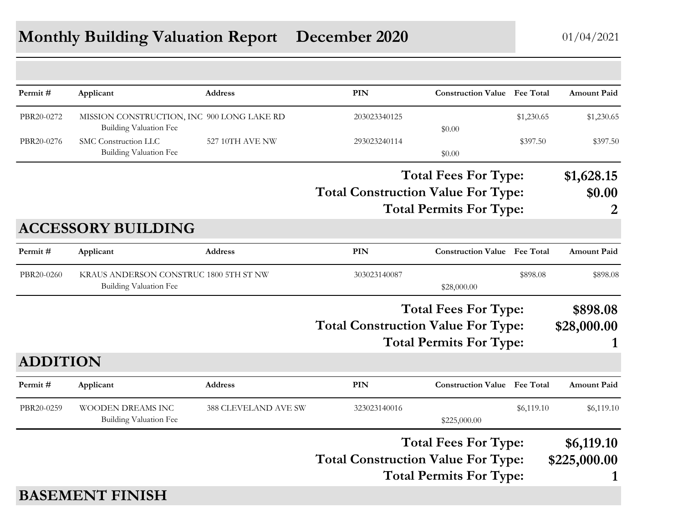| Permit#         | Applicant                                                                   | <b>Address</b>              | PIN                                                                                                        | <b>Construction Value</b> Fee Total                           |                              | <b>Amount Paid</b>              |
|-----------------|-----------------------------------------------------------------------------|-----------------------------|------------------------------------------------------------------------------------------------------------|---------------------------------------------------------------|------------------------------|---------------------------------|
| PBR20-0272      | MISSION CONSTRUCTION, INC 900 LONG LAKE RD<br><b>Building Valuation Fee</b> |                             | 203023340125                                                                                               | \$0.00                                                        | \$1,230.65                   | \$1,230.65                      |
| PBR20-0276      | SMC Construction LLC<br>Building Valuation Fee                              | 527 10TH AVE NW             | 293023240114                                                                                               | \$0.00                                                        | \$397.50                     | \$397.50                        |
|                 |                                                                             |                             | <b>Total Construction Value For Type:</b>                                                                  | <b>Total Fees For Type:</b><br><b>Total Permits For Type:</b> |                              | \$1,628.15<br>\$0.00<br>2       |
|                 | <b>ACCESSORY BUILDING</b>                                                   |                             |                                                                                                            |                                                               |                              |                                 |
| Permit#         | Applicant                                                                   | <b>Address</b>              | <b>PIN</b>                                                                                                 | <b>Construction Value</b> Fee Total                           |                              | <b>Amount Paid</b>              |
| PBR20-0260      | KRAUS ANDERSON CONSTRUC 1800 5TH ST NW<br>Building Valuation Fee            |                             | 303023140087<br>\$28,000.00                                                                                |                                                               | \$898.08                     | \$898.08                        |
|                 |                                                                             |                             | <b>Total Fees For Type:</b><br><b>Total Construction Value For Type:</b><br><b>Total Permits For Type:</b> |                                                               | \$898.08<br>\$28,000.00<br>1 |                                 |
| <b>ADDITION</b> |                                                                             |                             |                                                                                                            |                                                               |                              |                                 |
| Permit#         | Applicant                                                                   | <b>Address</b>              | PIN                                                                                                        | <b>Construction Value</b> Fee Total                           |                              | <b>Amount Paid</b>              |
| PBR20-0259      | WOODEN DREAMS INC<br>Building Valuation Fee                                 | <b>388 CLEVELAND AVE SW</b> | 323023140016                                                                                               | \$225,000.00                                                  | \$6,119.10                   | \$6,119.10                      |
|                 |                                                                             |                             | <b>Total Construction Value For Type:</b>                                                                  | <b>Total Fees For Type:</b><br><b>Total Permits For Type:</b> |                              | \$6,119.10<br>\$225,000.00<br>1 |
|                 | <b>BASEMENT FINISH</b>                                                      |                             |                                                                                                            |                                                               |                              |                                 |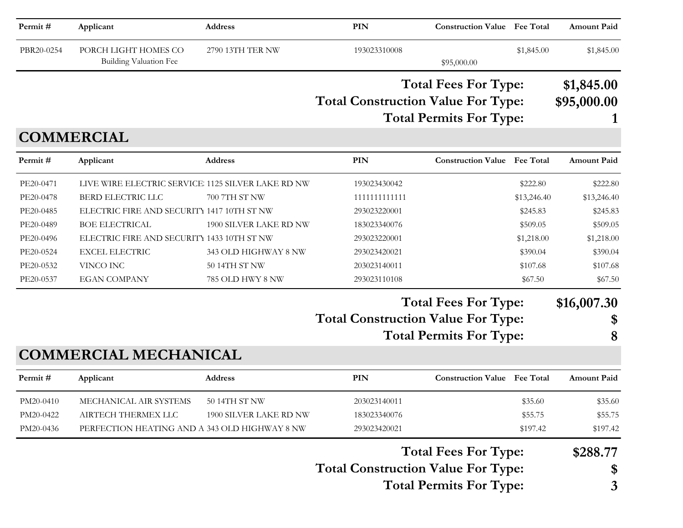| Permit#    | Applicant                                             | <b>Address</b>         | PIN                                       | <b>Construction Value Fee Total</b>                           |                  | <b>Amount Paid</b>        |
|------------|-------------------------------------------------------|------------------------|-------------------------------------------|---------------------------------------------------------------|------------------|---------------------------|
| PBR20-0254 | PORCH LIGHT HOMES CO<br><b>Building Valuation Fee</b> | 2790 13TH TER NW       | 193023310008                              | \$95,000.00                                                   | \$1,845.00       | \$1,845.00                |
|            |                                                       |                        | <b>Total Construction Value For Type:</b> | <b>Total Fees For Type:</b><br><b>Total Permits For Type:</b> |                  | \$1,845.00<br>\$95,000.00 |
|            | <b>COMMERCIAL</b>                                     |                        |                                           |                                                               |                  |                           |
| Permit#    | Applicant                                             | <b>Address</b>         | <b>PIN</b>                                | <b>Construction Value</b>                                     | <b>Fee Total</b> | <b>Amount Paid</b>        |
| PE20-0471  | LIVE WIRE ELECTRIC SERVICE 1125 SILVER LAKE RD NW     |                        | 193023430042                              |                                                               | \$222.80         | \$222.80                  |
| PE20-0478  | <b>BERD ELECTRIC LLC</b>                              | 700 7TH ST NW          | 1111111111111                             |                                                               | \$13,246.40      | \$13,246.40               |
| PE20-0485  | ELECTRIC FIRE AND SECURITY 1417 10TH ST NW            |                        | 293023220001                              |                                                               | \$245.83         | \$245.83                  |
| PE20-0489  | <b>BOE ELECTRICAL</b>                                 | 1900 SILVER LAKE RD NW | 183023340076                              |                                                               | \$509.05         | \$509.05                  |
| PE20-0496  | ELECTRIC FIRE AND SECURITY 1433 10TH ST NW            |                        | 293023220001                              |                                                               | \$1,218.00       | \$1,218.00                |
| PE20-0524  | <b>EXCEL ELECTRIC</b>                                 | 343 OLD HIGHWAY 8 NW   | 293023420021                              |                                                               | \$390.04         | \$390.04                  |
| PE20-0532  | VINCO INC                                             | 50 14TH ST NW          | 203023140011                              |                                                               | \$107.68         | \$107.68                  |
| PE20-0537  | <b>EGAN COMPANY</b>                                   | 785 OLD HWY 8 NW       | 293023110108                              |                                                               | \$67.50          | \$67.50                   |
|            |                                                       |                        | <b>Total Construction Value For Type:</b> | <b>Total Fees For Type:</b>                                   |                  | \$16,007.30<br>\$         |
|            |                                                       |                        |                                           | <b>Total Permits For Type:</b>                                |                  | 8                         |
|            | <b>COMMERCIAL MECHANICAL</b>                          |                        |                                           |                                                               |                  |                           |
| Permit#    | Applicant                                             | Address                | PIN                                       | <b>Construction Value</b>                                     | <b>Fee Total</b> | <b>Amount Paid</b>        |
| PM20-0410  | MECHANICAL AIR SYSTEMS                                | 50 14TH ST NW          | 203023140011                              |                                                               | \$35.60          | \$35.60                   |
| PM20-0422  | AIRTECH THERMEX LLC                                   | 1900 SILVER LAKE RD NW | 183023340076                              |                                                               | \$55.75          | \$55.75                   |
| PM20-0436  | PERFECTION HEATING AND A 343 OLD HIGHWAY 8 NW         |                        | 293023420021                              |                                                               | \$197.42         | \$197.42                  |
|            |                                                       |                        |                                           | <b>Total Fees For Type:</b>                                   |                  | \$288.77                  |
|            |                                                       |                        | <b>Total Construction Value For Type:</b> |                                                               |                  | \$                        |

**Total Permits For Type: 3**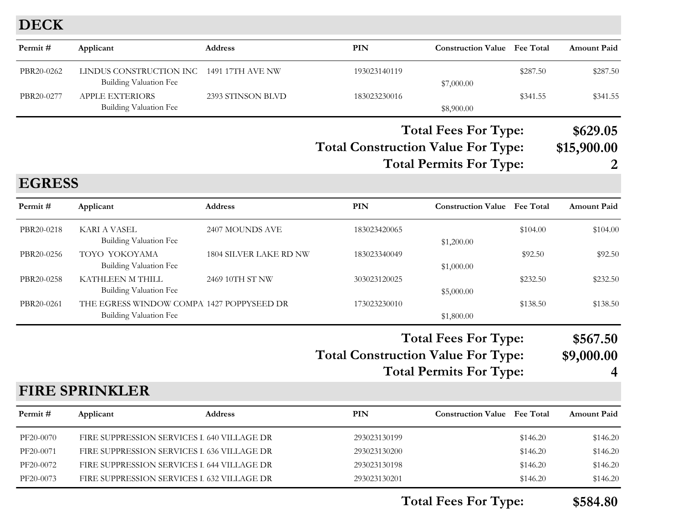#### **DECK**

| Permit#       | Applicant                                                                  | Address                | <b>PIN</b>                                | <b>Construction Value</b> Fee Total                           |          | <b>Amount Paid</b>                        |
|---------------|----------------------------------------------------------------------------|------------------------|-------------------------------------------|---------------------------------------------------------------|----------|-------------------------------------------|
| PBR20-0262    | LINDUS CONSTRUCTION INC<br><b>Building Valuation Fee</b>                   | 1491 17TH AVE NW       | 193023140119                              | \$7,000.00                                                    | \$287.50 | \$287.50                                  |
| PBR20-0277    | <b>APPLE EXTERIORS</b><br>Building Valuation Fee                           | 2393 STINSON BLVD      | 183023230016                              | \$8,900.00                                                    | \$341.55 | \$341.55                                  |
|               |                                                                            |                        | <b>Total Construction Value For Type:</b> | <b>Total Fees For Type:</b><br><b>Total Permits For Type:</b> |          | \$629.05<br>\$15,900.00<br>$\overline{2}$ |
| <b>EGRESS</b> |                                                                            |                        |                                           |                                                               |          |                                           |
| Permit#       | Applicant                                                                  | <b>Address</b>         | PIN                                       | <b>Construction Value</b> Fee Total                           |          | <b>Amount Paid</b>                        |
| PBR20-0218    | <b>KARI A VASEL</b><br><b>Building Valuation Fee</b>                       | 2407 MOUNDS AVE        | 183023420065                              | \$1,200.00                                                    | \$104.00 | \$104.00                                  |
| PBR20-0256    | TOYO YOKOYAMA<br><b>Building Valuation Fee</b>                             | 1804 SILVER LAKE RD NW | 183023340049                              | \$1,000.00                                                    | \$92.50  | \$92.50                                   |
| PBR20-0258    | KATHLEEN M THILL<br><b>Building Valuation Fee</b>                          | 2469 10TH ST NW        | 303023120025                              | \$5,000.00                                                    | \$232.50 | \$232.50                                  |
| PBR20-0261    | THE EGRESS WINDOW COMPA 1427 POPPYSEED DR<br><b>Building Valuation Fee</b> |                        | 173023230010                              | \$1,800.00                                                    | \$138.50 | \$138.50                                  |
|               |                                                                            |                        |                                           | <b>Total Fees For Type:</b>                                   |          | \$567.50                                  |

**Total Construction Value For Type: \$9,000.00**

**Total Permits For Type: 4**

# **FIRE SPRINKLER**

| Permit#   | Applicant                                  | <b>Address</b> | PIN          | <b>Construction Value</b> Fee Total |          | <b>Amount Paid</b> |
|-----------|--------------------------------------------|----------------|--------------|-------------------------------------|----------|--------------------|
| PF20-0070 | FIRE SUPPRESSION SERVICES I 640 VILLAGE DR |                | 293023130199 |                                     | \$146.20 | \$146.20           |
| PF20-0071 | FIRE SUPPRESSION SERVICES I 636 VILLAGE DR |                | 293023130200 |                                     | \$146.20 | \$146.20           |
| PF20-0072 | FIRE SUPPRESSION SERVICES I 644 VILLAGE DR |                | 293023130198 |                                     | \$146.20 | \$146.20           |
| PF20-0073 | FIRE SUPPRESSION SERVICES I 632 VILLAGE DR |                | 293023130201 |                                     | \$146.20 | \$146.20           |

**Total Fees For Type: \$584.80**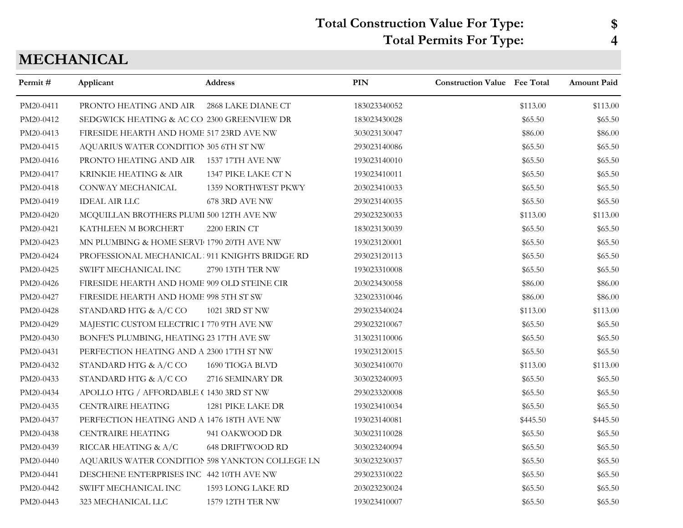# **Total Construction Value For Type: \$ Total Permits For Type: 4**

# **MECHANICAL**

| Permit#   | Applicant                                       | <b>Address</b>          | <b>PIN</b>   | <b>Construction Value</b> Fee Total |          | <b>Amount Paid</b> |
|-----------|-------------------------------------------------|-------------------------|--------------|-------------------------------------|----------|--------------------|
| PM20-0411 | PRONTO HEATING AND AIR                          | 2868 LAKE DIANE CT      | 183023340052 |                                     | \$113.00 | \$113.00           |
| PM20-0412 | SEDGWICK HEATING & AC CO 2300 GREENVIEW DR      |                         | 183023430028 |                                     | \$65.50  | \$65.50            |
| PM20-0413 | FIRESIDE HEARTH AND HOME 517 23RD AVE NW        |                         | 303023130047 |                                     | \$86.00  | \$86.00            |
| PM20-0415 | AQUARIUS WATER CONDITION 305 6TH ST NW          |                         | 293023140086 |                                     | \$65.50  | \$65.50            |
| PM20-0416 | PRONTO HEATING AND AIR 1537 17TH AVE NW         |                         | 193023140010 |                                     | \$65.50  | \$65.50            |
| PM20-0417 | KRINKIE HEATING & AIR                           | 1347 PIKE LAKE CT N     | 193023410011 |                                     | \$65.50  | \$65.50            |
| PM20-0418 | CONWAY MECHANICAL                               | 1359 NORTHWEST PKWY     | 203023410033 |                                     | \$65.50  | \$65.50            |
| PM20-0419 | <b>IDEAL AIR LLC</b>                            | 678 3RD AVE NW          | 293023140035 |                                     | \$65.50  | \$65.50            |
| PM20-0420 | MCQUILLAN BROTHERS PLUMI 500 12TH AVE NW        |                         | 293023230033 |                                     | \$113.00 | \$113.00           |
| PM20-0421 | KATHLEEN M BORCHERT                             | 2200 ERIN CT            | 183023130039 |                                     | \$65.50  | \$65.50            |
| PM20-0423 | MN PLUMBING & HOME SERVI $\,$ 1790 20TH AVE NW  |                         | 193023120001 |                                     | \$65.50  | \$65.50            |
| PM20-0424 | PROFESSIONAL MECHANICAL 911 KNIGHTS BRIDGE RD   |                         | 293023120113 |                                     | \$65.50  | \$65.50            |
| PM20-0425 | SWIFT MECHANICAL INC                            | 2790 13TH TER NW        | 193023310008 |                                     | \$65.50  | \$65.50            |
| PM20-0426 | FIRESIDE HEARTH AND HOME 909 OLD STEINE CIR     |                         | 203023430058 |                                     | \$86.00  | \$86.00            |
| PM20-0427 | FIRESIDE HEARTH AND HOME 998 5TH ST SW          |                         | 323023310046 |                                     | \$86.00  | \$86.00            |
| PM20-0428 | STANDARD HTG & A/C CO                           | 1021 3RD ST NW          | 293023340024 |                                     | \$113.00 | \$113.00           |
| PM20-0429 | MAJESTIC CUSTOM ELECTRIC I 770 9TH AVE NW       |                         | 293023210067 |                                     | \$65.50  | \$65.50            |
| PM20-0430 | BONFE'S PLUMBING, HEATING 23 17TH AVE SW        |                         | 313023110006 |                                     | \$65.50  | \$65.50            |
| PM20-0431 | PERFECTION HEATING AND A 2300 17TH ST NW        |                         | 193023120015 |                                     | \$65.50  | \$65.50            |
| PM20-0432 | STANDARD HTG & A/C CO                           | 1690 TIOGA BLVD         | 303023410070 |                                     | \$113.00 | \$113.00           |
| PM20-0433 | STANDARD HTG & A/C CO                           | 2716 SEMINARY DR        | 303023240093 |                                     | \$65.50  | \$65.50            |
| PM20-0434 | APOLLO HTG / AFFORDABLE (1430 3RD ST NW         |                         | 293023320008 |                                     | \$65.50  | \$65.50            |
| PM20-0435 | <b>CENTRAIRE HEATING</b>                        | 1281 PIKE LAKE DR       | 193023410034 |                                     | \$65.50  | \$65.50            |
| PM20-0437 | PERFECTION HEATING AND A 1476 18TH AVE NW       |                         | 193023140081 |                                     | \$445.50 | \$445.50           |
| PM20-0438 | <b>CENTRAIRE HEATING</b>                        | 941 OAKWOOD DR          | 303023110028 |                                     | \$65.50  | \$65.50            |
| PM20-0439 | RICCAR HEATING & A/C                            | <b>648 DRIFTWOOD RD</b> | 303023240094 |                                     | \$65.50  | \$65.50            |
| PM20-0440 | AQUARIUS WATER CONDITION 598 YANKTON COLLEGE LN |                         | 303023230037 |                                     | \$65.50  | \$65.50            |
| PM20-0441 | DESCHENE ENTERPRISES INC 442 10TH AVE NW        |                         | 293023310022 |                                     | \$65.50  | \$65.50            |
| PM20-0442 | SWIFT MECHANICAL INC                            | 1593 LONG LAKE RD       | 203023230024 |                                     | \$65.50  | \$65.50            |
| PM20-0443 | 323 MECHANICAL LLC                              | 1579 12TH TER NW        | 193023410007 |                                     | \$65.50  | \$65.50            |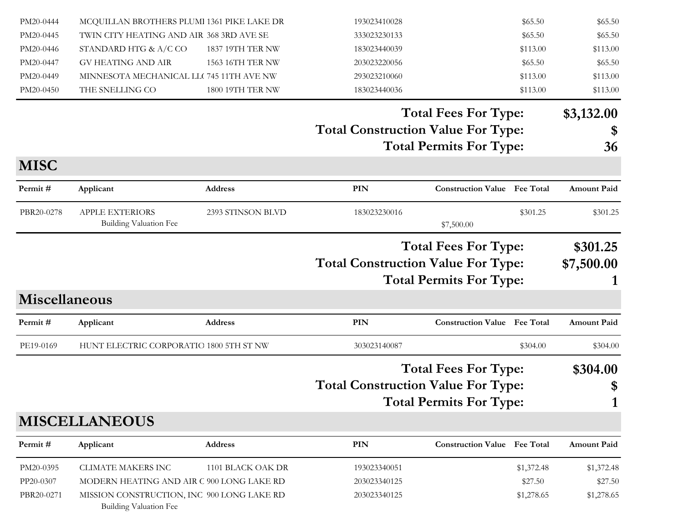| PM20-0444            | MCQUILLAN BROTHERS PLUMI 1361 PIKE LAKE DR                                  |                   | 193023410028                                                                                               |                                     | \$65.50    | \$65.50                |
|----------------------|-----------------------------------------------------------------------------|-------------------|------------------------------------------------------------------------------------------------------------|-------------------------------------|------------|------------------------|
| PM20-0445            | TWIN CITY HEATING AND AIR 368 3RD AVE SE                                    |                   | 333023230133                                                                                               |                                     | \$65.50    | \$65.50                |
| PM20-0446            | STANDARD HTG & A/C CO                                                       | 1837 19TH TER NW  | 183023440039                                                                                               |                                     | \$113.00   | \$113.00               |
| PM20-0447            | <b>GV HEATING AND AIR</b>                                                   | 1563 16TH TER NW  | 203023220056                                                                                               |                                     | \$65.50    | \$65.50                |
| PM20-0449            | MINNESOTA MECHANICAL LLC 745 11TH AVE NW                                    |                   | 293023210060                                                                                               |                                     | \$113.00   | \$113.00               |
| PM20-0450            | THE SNELLING CO                                                             | 1800 19TH TER NW  | 183023440036                                                                                               |                                     | \$113.00   | \$113.00               |
|                      |                                                                             |                   |                                                                                                            | <b>Total Fees For Type:</b>         |            | \$3,132.00             |
|                      |                                                                             |                   | <b>Total Construction Value For Type:</b>                                                                  |                                     |            | \$                     |
|                      |                                                                             |                   |                                                                                                            | <b>Total Permits For Type:</b>      |            | 36                     |
| <b>MISC</b>          |                                                                             |                   |                                                                                                            |                                     |            |                        |
| Permit#              | Applicant                                                                   | <b>Address</b>    | PIN                                                                                                        | <b>Construction Value Fee Total</b> |            | Amount Paid            |
| PBR20-0278           | APPLE EXTERIORS<br><b>Building Valuation Fee</b>                            | 2393 STINSON BLVD | 183023230016                                                                                               | \$7,500.00                          | \$301.25   | \$301.25               |
|                      |                                                                             |                   | <b>Total Fees For Type:</b><br><b>Total Construction Value For Type:</b><br><b>Total Permits For Type:</b> |                                     |            | \$301.25<br>\$7,500.00 |
| <b>Miscellaneous</b> |                                                                             |                   |                                                                                                            |                                     |            |                        |
| Permit#              | Applicant                                                                   | <b>Address</b>    | PIN                                                                                                        | <b>Construction Value</b> Fee Total |            | <b>Amount Paid</b>     |
| PE19-0169            | HUNT ELECTRIC CORPORATIO 1800 5TH ST NW                                     |                   | 303023140087                                                                                               |                                     | \$304.00   | \$304.00               |
|                      |                                                                             |                   |                                                                                                            | <b>Total Fees For Type:</b>         |            | \$304.00               |
|                      |                                                                             |                   | <b>Total Construction Value For Type:</b>                                                                  |                                     |            | \$                     |
|                      |                                                                             |                   |                                                                                                            | <b>Total Permits For Type:</b>      |            | 1                      |
|                      | <b>MISCELLANEOUS</b>                                                        |                   |                                                                                                            |                                     |            |                        |
| Permit#              | Applicant                                                                   | <b>Address</b>    | PIN                                                                                                        | <b>Construction Value Fee Total</b> |            | <b>Amount Paid</b>     |
| PM20-0395            | <b>CLIMATE MAKERS INC</b>                                                   | 1101 BLACK OAK DR | 193023340051                                                                                               |                                     | \$1,372.48 | \$1,372.48             |
| PP20-0307            | MODERN HEATING AND AIR C 900 LONG LAKE RD                                   |                   | 203023340125                                                                                               |                                     | \$27.50    | \$27.50                |
| PBR20-0271           | MISSION CONSTRUCTION, INC 900 LONG LAKE RD<br><b>Building Valuation Fee</b> |                   | 203023340125                                                                                               |                                     | \$1,278.65 | \$1,278.65             |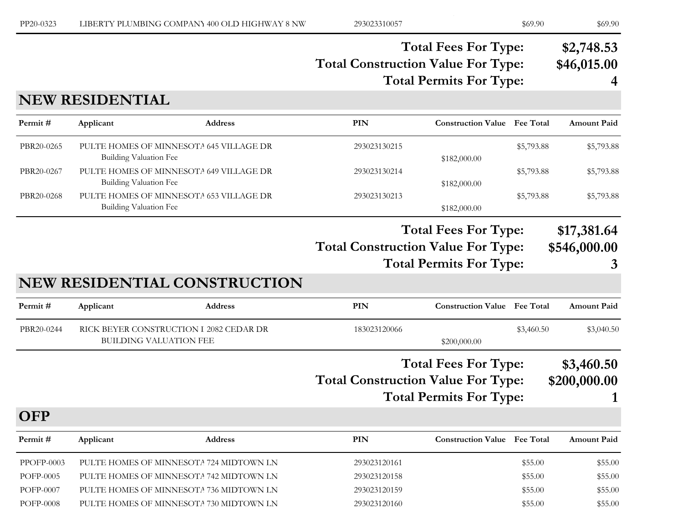#### **Total Construction Value For Type: \$46,015.00 Total Fees For Type: \$2,748.53 Total Permits For Type: 4**

## **NEW RESIDENTIAL**

**OFP**

| Permit #   | Applicant                                                                | <b>Address</b> | PIN          | <b>Construction Value</b> Fee Total |            | <b>Amount Paid</b> |
|------------|--------------------------------------------------------------------------|----------------|--------------|-------------------------------------|------------|--------------------|
| PBR20-0265 | PULTE HOMES OF MINNESOTA 645 VILLAGE DR<br><b>Building Valuation Fee</b> |                | 293023130215 | \$182,000.00                        | \$5,793.88 | \$5,793.88         |
| PBR20-0267 | PULTE HOMES OF MINNESOTA 649 VILLAGE DR<br>Building Valuation Fee        |                | 293023130214 | \$182,000.00                        | \$5,793.88 | \$5,793.88         |
| PBR20-0268 | PULTE HOMES OF MINNESOTA 653 VILLAGE DR<br>Building Valuation Fee        |                | 293023130213 | \$182,000.00                        | \$5,793.88 | \$5,793.88         |

#### **Total Fees For Type: \$17,381.64**

**Total Construction Value For Type: \$546,000.00**

**Total Permits For Type: 3**

| , , , , , , , , |  |  |   |
|-----------------|--|--|---|
|                 |  |  | 3 |

#### **NEW RESIDENTIAL CONSTRUCTION**

| Permit #   | Applicant                                                         | <b>Address</b> | PIN          | <b>Construction Value</b> Fee Total |            | <b>Amount Paid</b> |
|------------|-------------------------------------------------------------------|----------------|--------------|-------------------------------------|------------|--------------------|
| PBR20-0244 | RICK BEYER CONSTRUCTION I 2082 CEDAR DR<br>BUILDING VALUATION FEE |                | 183023120066 | \$200,000.00                        | \$3,460.50 | \$3,040.50         |

# **Total Construction Value For Type: \$200,000.00 Total Fees For Type: \$3,460.50**

**Total Permits For Type: 1**

| Permit#    | Applicant                               | <b>Address</b> | PIN          | <b>Construction Value</b> Fee Total |         | <b>Amount Paid</b> |
|------------|-----------------------------------------|----------------|--------------|-------------------------------------|---------|--------------------|
| PPOFP-0003 | PULTE HOMES OF MINNESOTA 724 MIDTOWN LN |                | 293023120161 |                                     | \$55.00 | \$55.00            |
| POFP-0005  | PULTE HOMES OF MINNESOTA 742 MIDTOWN LN |                | 293023120158 |                                     | \$55.00 | \$55.00            |
| POFP-0007  | PULTE HOMES OF MINNESOTA 736 MIDTOWN LN |                | 293023120159 |                                     | \$55.00 | \$55.00            |
| POFP-0008  | PULTE HOMES OF MINNESOTA 730 MIDTOWN LN |                | 293023120160 |                                     | \$55.00 | \$55.00            |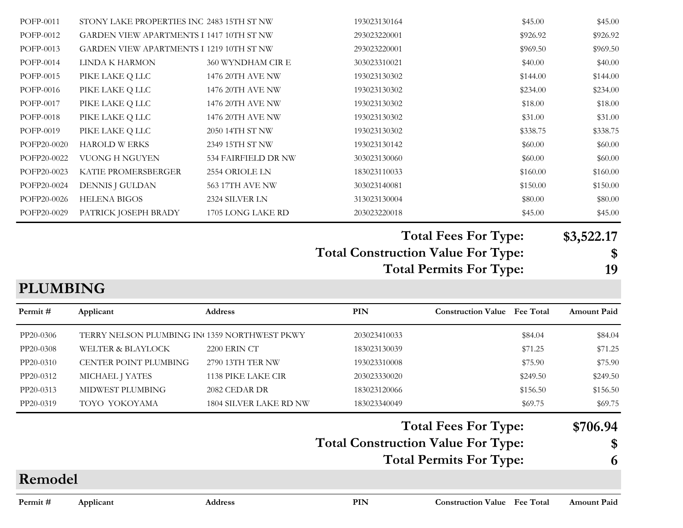| <b>PLUMBING</b> |                                                 |                        |                                                                             |          |            |
|-----------------|-------------------------------------------------|------------------------|-----------------------------------------------------------------------------|----------|------------|
|                 |                                                 |                        | <b>Total Construction Value For Type:</b><br><b>Total Permits For Type:</b> | \$<br>19 |            |
|                 |                                                 |                        | <b>Total Fees For Type:</b>                                                 |          | \$3,522.17 |
| POFP20-0029     | PATRICK JOSEPH BRADY                            | 1705 LONG LAKE RD      | 203023220018                                                                | \$45.00  | \$45.00    |
| POFP20-0026     | <b>HELENA BIGOS</b>                             | 2324 SILVER LN         | 313023130004                                                                | \$80.00  | \$80.00    |
| POFP20-0024     | DENNIS J GULDAN                                 | <b>563 17TH AVE NW</b> | 303023140081                                                                | \$150.00 | \$150.00   |
| POFP20-0023     | KATIE PROMERSBERGER                             | 2554 ORIOLE LN         | 183023110033                                                                | \$160.00 | \$160.00   |
| POFP20-0022     | <b>VUONG H NGUYEN</b>                           | 534 FAIRFIELD DR NW    | 303023130060                                                                | \$60.00  | \$60.00    |
| POFP20-0020     | <b>HAROLD W ERKS</b>                            | 2349 15TH ST NW        | 193023130142                                                                | \$60.00  | \$60.00    |
| POFP-0019       | PIKE LAKE Q LLC                                 | 2050 14TH ST NW        | 193023130302                                                                | \$338.75 | \$338.75   |
| POFP-0018       | PIKE LAKE Q LLC                                 | 1476 20TH AVE NW       | 193023130302                                                                | \$31.00  | \$31.00    |
| POFP-0017       | PIKE LAKE Q LLC                                 | 1476 20TH AVE NW       | 193023130302                                                                | \$18.00  | \$18.00    |
| POFP-0016       | PIKE LAKE Q LLC                                 | 1476 20TH AVE NW       | 193023130302                                                                | \$234.00 | \$234.00   |
| POFP-0015       | PIKE LAKE Q LLC                                 | 1476 20TH AVE NW       | 193023130302                                                                | \$144.00 | \$144.00   |
| POFP-0014       | LINDA K HARMON                                  | 360 WYNDHAM CIR E      | 303023310021                                                                | \$40.00  | \$40.00    |
| POFP-0013       | <b>GARDEN VIEW APARTMENTS I 1219 10TH ST NW</b> |                        | 293023220001                                                                | \$969.50 | \$969.50   |
| POFP-0012       | GARDEN VIEW APARTMENTS I 1417 10TH ST NW        |                        | 293023220001                                                                | \$926.92 | \$926.92   |
| POFP-0011       | STONY LAKE PROPERTIES INC 2483 15TH ST NW       |                        | 193023130164                                                                | \$45.00  | \$45.00    |

| Permit#   | Applicant                                    | <b>Address</b>                | PIN                                       | <b>Construction Value</b> Fee Total | <b>Amount Paid</b>         |
|-----------|----------------------------------------------|-------------------------------|-------------------------------------------|-------------------------------------|----------------------------|
| PP20-0306 | TERRY NELSON PLUMBING IN 1359 NORTHWEST PKWY |                               | 203023410033                              | \$84.04                             | \$84.04                    |
| PP20-0308 | <b>WELTER &amp; BLAYLOCK</b>                 | <b>2200 ERIN CT</b>           | 183023130039                              | \$71.25                             | \$71.25                    |
| PP20-0310 | <b>CENTER POINT PLUMBING</b>                 | 2790 13TH TER NW              | 193023310008                              | \$75.90                             | \$75.90                    |
| PP20-0312 | MICHAEL J YATES                              | 1138 PIKE LAKE CIR            | 203023330020                              | \$249.50                            | \$249.50                   |
| PP20-0313 | MIDWEST PLUMBING                             | 2082 CEDAR DR                 | 183023120066                              | \$156.50                            | \$156.50                   |
| PP20-0319 | TOYO YOKOYAMA                                | <b>1804 SILVER LAKE RD NW</b> | 183023340049                              | \$69.75                             | \$69.75                    |
|           |                                              |                               |                                           | <b>Total Fees For Type:</b>         | \$706.94                   |
|           |                                              |                               | <b>Total Construction Value For Type:</b> |                                     | $\boldsymbol{\mathsf{\$}}$ |
|           |                                              |                               |                                           | <b>Total Permits For Type:</b>      | 6                          |

# **Remodel**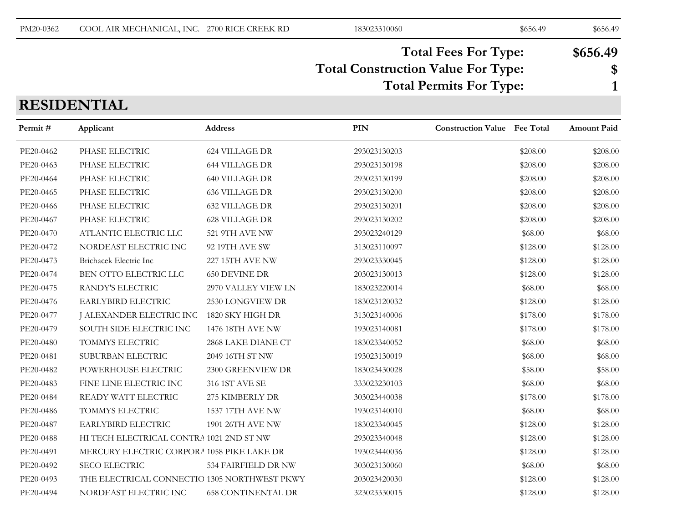| PM20-0362 | COOL AIR MECHANICAL, INC. 2700 RICE CREEK RD | 183023310060 | \$656.49 | \$656.49 |
|-----------|----------------------------------------------|--------------|----------|----------|
|           |                                              |              |          |          |

#### **Total Construction Value For Type: \$ Total Fees For Type: \$656.49 Total Permits For Type: 1**

# **RESIDENTIAL**

| Permit#   | Applicant                                    | Address                   | <b>PIN</b>   | <b>Construction Value</b> Fee Total |          | <b>Amount Paid</b> |
|-----------|----------------------------------------------|---------------------------|--------------|-------------------------------------|----------|--------------------|
| PE20-0462 | PHASE ELECTRIC                               | <b>624 VILLAGE DR</b>     | 293023130203 |                                     | \$208.00 | \$208.00           |
| PE20-0463 | PHASE ELECTRIC                               | <b>644 VILLAGE DR</b>     | 293023130198 |                                     | \$208.00 | \$208.00           |
| PE20-0464 | PHASE ELECTRIC                               | <b>640 VILLAGE DR</b>     | 293023130199 |                                     | \$208.00 | \$208.00           |
| PE20-0465 | PHASE ELECTRIC                               | <b>636 VILLAGE DR</b>     | 293023130200 |                                     | \$208.00 | \$208.00           |
| PE20-0466 | PHASE ELECTRIC                               | <b>632 VILLAGE DR</b>     | 293023130201 |                                     | \$208.00 | \$208.00           |
| PE20-0467 | PHASE ELECTRIC                               | <b>628 VILLAGE DR</b>     | 293023130202 |                                     | \$208.00 | \$208.00           |
| PE20-0470 | ATLANTIC ELECTRIC LLC                        | 521 9TH AVE NW            | 293023240129 |                                     | \$68.00  | \$68.00            |
| PE20-0472 | NORDEAST ELECTRIC INC                        | 92 19TH AVE SW            | 313023110097 |                                     | \$128.00 | \$128.00           |
| PE20-0473 | Brichacek Electric Inc                       | <b>227 15TH AVE NW</b>    | 293023330045 |                                     | \$128.00 | \$128.00           |
| PE20-0474 | BEN OTTO ELECTRIC LLC                        | <b>650 DEVINE DR</b>      | 203023130013 |                                     | \$128.00 | \$128.00           |
| PE20-0475 | RANDY'S ELECTRIC                             | 2970 VALLEY VIEW LN       | 183023220014 |                                     | \$68.00  | \$68.00            |
| PE20-0476 | EARLYBIRD ELECTRIC                           | 2530 LONGVIEW DR          | 183023120032 |                                     | \$128.00 | \$128.00           |
| PE20-0477 | J ALEXANDER ELECTRIC INC 1820 SKY HIGH DR    |                           | 313023140006 |                                     | \$178.00 | \$178.00           |
| PE20-0479 | SOUTH SIDE ELECTRIC INC                      | <b>1476 18TH AVE NW</b>   | 193023140081 |                                     | \$178.00 | \$178.00           |
| PE20-0480 | TOMMYS ELECTRIC                              | 2868 LAKE DIANE CT        | 183023340052 |                                     | \$68.00  | \$68.00            |
| PE20-0481 | SUBURBAN ELECTRIC                            | 2049 16TH ST NW           | 193023130019 |                                     | \$68.00  | \$68.00            |
| PE20-0482 | POWERHOUSE ELECTRIC                          | 2300 GREENVIEW DR         | 183023430028 |                                     | \$58.00  | \$58.00            |
| PE20-0483 | FINE LINE ELECTRIC INC                       | 316 1ST AVE SE            | 333023230103 |                                     | \$68.00  | \$68.00            |
| PE20-0484 | READY WATT ELECTRIC                          | 275 KIMBERLY DR           | 303023440038 |                                     | \$178.00 | \$178.00           |
| PE20-0486 | TOMMYS ELECTRIC                              | 1537 17TH AVE NW          | 193023140010 |                                     | \$68.00  | \$68.00            |
| PE20-0487 | EARLYBIRD ELECTRIC                           | <b>1901 26TH AVE NW</b>   | 183023340045 |                                     | \$128.00 | \$128.00           |
| PE20-0488 | HI TECH ELECTRICAL CONTRA 1021 2ND ST NW     |                           | 293023340048 |                                     | \$128.00 | \$128.00           |
| PE20-0491 | MERCURY ELECTRIC CORPORA 1058 PIKE LAKE DR   |                           | 193023440036 |                                     | \$128.00 | \$128.00           |
| PE20-0492 | <b>SECO ELECTRIC</b>                         | 534 FAIRFIELD DR NW       | 303023130060 |                                     | \$68.00  | \$68.00            |
| PE20-0493 | THE ELECTRICAL CONNECTIO 1305 NORTHWEST PKWY |                           | 203023420030 |                                     | \$128.00 | \$128.00           |
| PE20-0494 | NORDEAST ELECTRIC INC                        | <b>658 CONTINENTAL DR</b> | 323023330015 |                                     | \$128.00 | \$128.00           |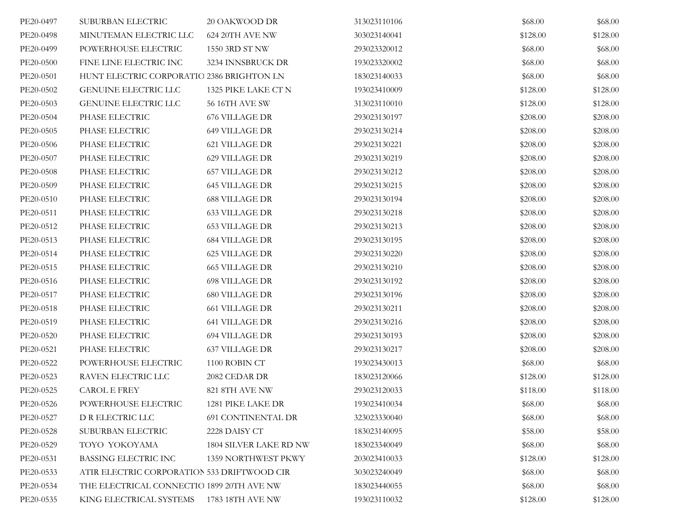| PE20-0497 | SUBURBAN ELECTRIC                           | 20 OAKWOOD DR                 | 313023110106 | \$68.00  | \$68.00  |
|-----------|---------------------------------------------|-------------------------------|--------------|----------|----------|
| PE20-0498 | MINUTEMAN ELECTRIC LLC                      | 624 20TH AVE NW               | 303023140041 | \$128.00 | \$128.00 |
| PE20-0499 | POWERHOUSE ELECTRIC                         | 1550 3RD ST NW                | 293023320012 | \$68.00  | \$68.00  |
| PE20-0500 | FINE LINE ELECTRIC INC                      | 3234 INNSBRUCK DR             | 193023320002 | \$68.00  | \$68.00  |
| PE20-0501 | HUNT ELECTRIC CORPORATIO 2386 BRIGHTON LN   |                               | 183023140033 | \$68.00  | \$68.00  |
| PE20-0502 | GENUINE ELECTRIC LLC                        | 1325 PIKE LAKE CT N           | 193023410009 | \$128.00 | \$128.00 |
| PE20-0503 | <b>GENUINE ELECTRIC LLC</b>                 | <b>56 16TH AVE SW</b>         | 313023110010 | \$128.00 | \$128.00 |
| PE20-0504 | PHASE ELECTRIC                              | <b>676 VILLAGE DR</b>         | 293023130197 | \$208.00 | \$208.00 |
| PE20-0505 | PHASE ELECTRIC                              | <b>649 VILLAGE DR</b>         | 293023130214 | \$208.00 | \$208.00 |
| PE20-0506 | PHASE ELECTRIC                              | <b>621 VILLAGE DR</b>         | 293023130221 | \$208.00 | \$208.00 |
| PE20-0507 | PHASE ELECTRIC                              | <b>629 VILLAGE DR</b>         | 293023130219 | \$208.00 | \$208.00 |
| PE20-0508 | PHASE ELECTRIC                              | <b>657 VILLAGE DR</b>         | 293023130212 | \$208.00 | \$208.00 |
| PE20-0509 | PHASE ELECTRIC                              | <b>645 VILLAGE DR</b>         | 293023130215 | \$208.00 | \$208.00 |
| PE20-0510 | PHASE ELECTRIC                              | <b>688 VILLAGE DR</b>         | 293023130194 | \$208.00 | \$208.00 |
| PE20-0511 | PHASE ELECTRIC                              | <b>633 VILLAGE DR</b>         | 293023130218 | \$208.00 | \$208.00 |
| PE20-0512 | PHASE ELECTRIC                              | <b>653 VILLAGE DR</b>         | 293023130213 | \$208.00 | \$208.00 |
| PE20-0513 | PHASE ELECTRIC                              | <b>684 VILLAGE DR</b>         | 293023130195 | \$208.00 | \$208.00 |
| PE20-0514 | PHASE ELECTRIC                              | 625 VILLAGE DR                | 293023130220 | \$208.00 | \$208.00 |
| PE20-0515 | PHASE ELECTRIC                              | <b>665 VILLAGE DR</b>         | 293023130210 | \$208.00 | \$208.00 |
| PE20-0516 | PHASE ELECTRIC                              | <b>698 VILLAGE DR</b>         | 293023130192 | \$208.00 | \$208.00 |
| PE20-0517 | PHASE ELECTRIC                              | <b>680 VILLAGE DR</b>         | 293023130196 | \$208.00 | \$208.00 |
| PE20-0518 | PHASE ELECTRIC                              | <b>661 VILLAGE DR</b>         | 293023130211 | \$208.00 | \$208.00 |
| PE20-0519 | PHASE ELECTRIC                              | <b>641 VILLAGE DR</b>         | 293023130216 | \$208.00 | \$208.00 |
| PE20-0520 | PHASE ELECTRIC                              | <b>694 VILLAGE DR</b>         | 293023130193 | \$208.00 | \$208.00 |
| PE20-0521 | PHASE ELECTRIC                              | <b>637 VILLAGE DR</b>         | 293023130217 | \$208.00 | \$208.00 |
| PE20-0522 | POWERHOUSE ELECTRIC                         | $1100$ ROBIN CT               | 193023430013 | \$68.00  | \$68.00  |
| PE20-0523 | RAVEN ELECTRIC LLC                          | 2082 CEDAR DR                 | 183023120066 | \$128.00 | \$128.00 |
| PE20-0525 | CAROL E FREY                                | 821 8TH AVE NW                | 293023120033 | \$118.00 | \$118.00 |
| PE20-0526 | POWERHOUSE ELECTRIC                         | 1281 PIKE LAKE DR             | 193023410034 | \$68.00  | \$68.00  |
| PE20-0527 | D R ELECTRIC LLC                            | <b>691 CONTINENTAL DR</b>     | 323023330040 | \$68.00  | \$68.00  |
| PE20-0528 | SUBURBAN ELECTRIC                           | 2228 DAISY CT                 | 183023140095 | \$58.00  | \$58.00  |
| PE20-0529 | TOYO YOKOYAMA                               | <b>1804 SILVER LAKE RD NW</b> | 183023340049 | \$68.00  | \$68.00  |
| PE20-0531 | <b>BASSING ELECTRIC INC</b>                 | 1359 NORTHWEST PKWY           | 203023410033 | \$128.00 | \$128.00 |
| PE20-0533 | ATIR ELECTRIC CORPORATION 533 DRIFTWOOD CIR |                               | 303023240049 | \$68.00  | \$68.00  |
| PE20-0534 | THE ELECTRICAL CONNECTIO 1899 20TH AVE NW   |                               | 183023440055 | \$68.00  | \$68.00  |
| PE20-0535 | KING ELECTRICAL SYSTEMS                     | 1783 18TH AVE NW              | 193023110032 | \$128.00 | \$128.00 |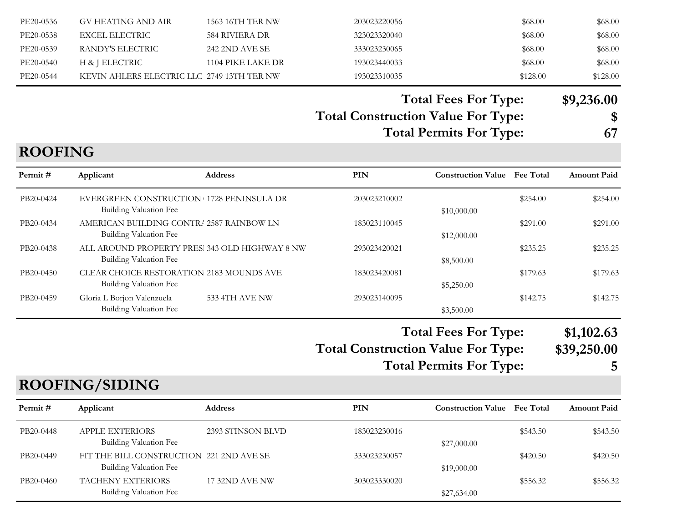| PE20-0536 | GV HEATING AND AIR                         | 1563 16TH TER NW  | 203023220056 | \$68.00  | \$68.00  |
|-----------|--------------------------------------------|-------------------|--------------|----------|----------|
| PE20-0538 | EXCEL ELECTRIC                             | 584 RIVIERA DR    | 323023320040 | \$68.00  | \$68.00  |
| PE20-0539 | RANDY'S ELECTRIC                           | 242 2ND AVE SE    | 333023230065 | \$68.00  | \$68.00  |
| PE20-0540 | H & J ELECTRIC                             | 1104 PIKE LAKE DR | 193023440033 | \$68.00  | \$68.00  |
| PE20-0544 | KEVIN AHLERS ELECTRIC LLC 2749 13TH TER NW |                   | 193023310035 | \$128.00 | \$128.00 |

#### **Total Fees For Type: \$9,236.00**

# **Total Construction Value For Type: \$**

**Total Permits For Type: 67**

# **ROOFING**

| Permit#   | Applicant                                                                       | <b>Address</b>        | PIN          | <b>Construction Value</b> Fee Total |          | <b>Amount Paid</b> |
|-----------|---------------------------------------------------------------------------------|-----------------------|--------------|-------------------------------------|----------|--------------------|
| PB20-0424 | EVERGREEN CONSTRUCTION 1728 PENINSULA DR<br><b>Building Valuation Fee</b>       |                       | 203023210002 | \$10,000.00                         | \$254.00 | \$254.00           |
| PB20-0434 | AMERICAN BUILDING CONTRE 2587 RAINBOW LN<br>Building Valuation Fee              |                       | 183023110045 | \$12,000.00                         | \$291.00 | \$291.00           |
| PB20-0438 | ALL AROUND PROPERTY PRES. 343 OLD HIGHWAY 8 NW<br><b>Building Valuation Fee</b> |                       | 293023420021 | \$8,500.00                          | \$235.25 | \$235.25           |
| PB20-0450 | CLEAR CHOICE RESTORATION 2183 MOUNDS AVE<br>Building Valuation Fee              |                       | 183023420081 | \$5,250.00                          | \$179.63 | \$179.63           |
| PB20-0459 | Gloria L Borjon Valenzuela<br>Building Valuation Fee                            | <b>533 4TH AVE NW</b> | 293023140095 | \$3,500.00                          | \$142.75 | \$142.75           |

**Total Fees For Type: \$1,102.63**

**Total Construction Value For Type: \$39,250.00**

**Total Permits For Type: 5**

#### **ROOFING/SIDING**

| Permit#   | Applicant                                                          | <b>Address</b>    | PIN          | <b>Construction Value</b> Fee Total |          | <b>Amount Paid</b> |
|-----------|--------------------------------------------------------------------|-------------------|--------------|-------------------------------------|----------|--------------------|
| PB20-0448 | <b>APPLE EXTERIORS</b><br>Building Valuation Fee                   | 2393 STINSON BLVD | 183023230016 | \$27,000.00                         | \$543.50 | \$543.50           |
| PB20-0449 | FIT THE BILL CONSTRUCTION 221 2ND AVE SE<br>Building Valuation Fee |                   | 333023230057 | \$19,000.00                         | \$420.50 | \$420.50           |
| PB20-0460 | <b>TACHENY EXTERIORS</b><br>Building Valuation Fee                 | 17 32ND AVE NW    | 303023330020 | \$27,634.00                         | \$556.32 | \$556.32           |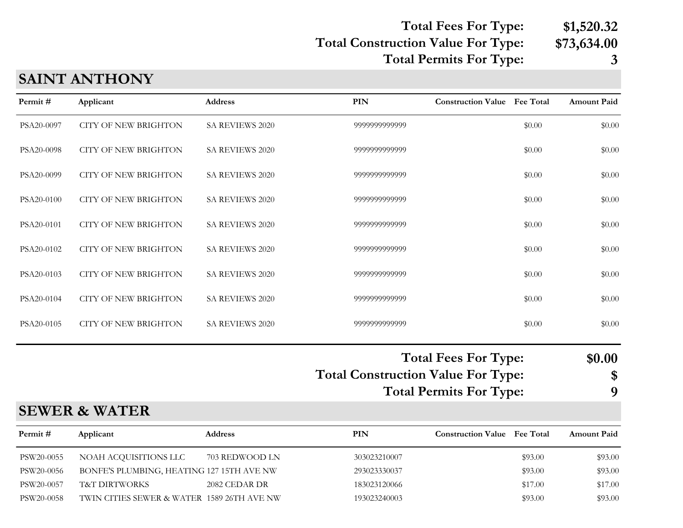#### **Total Construction Value For Type: \$73,634.00 Total Fees For Type: \$1,520.32 Total Permits For Type: 3**

# **SAINT ANTHONY**

| Permit#    | Applicant                                 | <b>Address</b>  | <b>PIN</b>                                | <b>Construction Value Fee Total</b>                           |         | Amount Paid       |
|------------|-------------------------------------------|-----------------|-------------------------------------------|---------------------------------------------------------------|---------|-------------------|
| PSA20-0097 | <b>CITY OF NEW BRIGHTON</b>               | SA REVIEWS 2020 | 9999999999999                             |                                                               | \$0.00  | \$0.00            |
| PSA20-0098 | <b>CITY OF NEW BRIGHTON</b>               | SA REVIEWS 2020 | 9999999999999                             |                                                               | \$0.00  | \$0.00            |
| PSA20-0099 | <b>CITY OF NEW BRIGHTON</b>               | SA REVIEWS 2020 | 9999999999999                             |                                                               | \$0.00  | \$0.00            |
| PSA20-0100 | <b>CITY OF NEW BRIGHTON</b>               | SA REVIEWS 2020 | 9999999999999                             |                                                               | \$0.00  | \$0.00            |
| PSA20-0101 | <b>CITY OF NEW BRIGHTON</b>               | SA REVIEWS 2020 | 9999999999999                             |                                                               | \$0.00  | \$0.00            |
| PSA20-0102 | <b>CITY OF NEW BRIGHTON</b>               | SA REVIEWS 2020 | 9999999999999                             |                                                               | \$0.00  | \$0.00            |
| PSA20-0103 | <b>CITY OF NEW BRIGHTON</b>               | SA REVIEWS 2020 | 9999999999999                             |                                                               | \$0.00  | \$0.00            |
| PSA20-0104 | <b>CITY OF NEW BRIGHTON</b>               | SA REVIEWS 2020 | 9999999999999                             |                                                               | \$0.00  | \$0.00            |
| PSA20-0105 | <b>CITY OF NEW BRIGHTON</b>               | SA REVIEWS 2020 | 9999999999999                             |                                                               | \$0.00  | \$0.00            |
|            |                                           |                 | <b>Total Construction Value For Type:</b> | <b>Total Fees For Type:</b><br><b>Total Permits For Type:</b> |         | \$0.00<br>\$<br>9 |
|            | <b>SEWER &amp; WATER</b>                  |                 |                                           |                                                               |         |                   |
| Permit#    | Applicant                                 | <b>Address</b>  | <b>PIN</b>                                | <b>Construction Value Fee Total</b>                           |         | Amount Paid       |
| PSW20-0055 | NOAH ACQUISITIONS LLC                     | 703 REDWOOD LN  | 303023210007                              |                                                               | \$93.00 | \$93.00           |
| PSW20-0056 | BONFE'S PLUMBING, HEATING 127 15TH AVE NW |                 | 293023330037                              |                                                               | \$93.00 | \$93.00           |
| PSW20-0057 | T&T DIRTWORKS                             | 2082 CEDAR DR   | 183023120066                              |                                                               | \$17.00 | \$17.00           |

PSW20-0058 TWIN CITIES SEWER & WATER 1589 26TH AVE NW 193023240003 \$93.00 \$93.00 \$93.00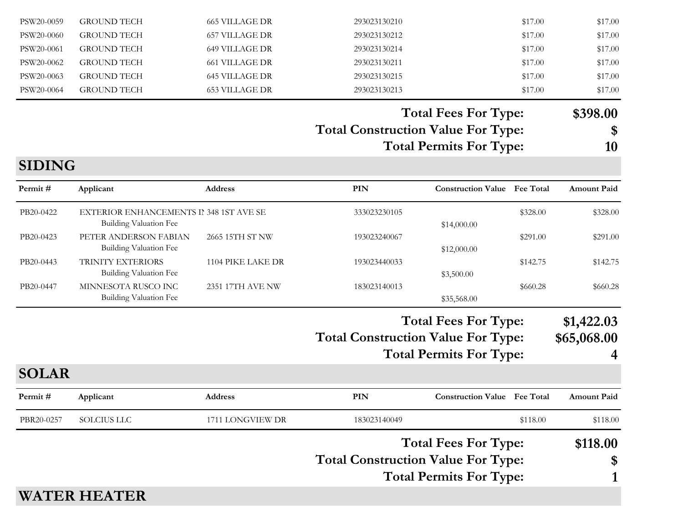|               |                                                        |                       | <b>Total Construction Value For Type:</b> | <b>Total Fees For Type:</b><br><b>Total Permits For Type:</b> |          | \$118.00<br>\$            |
|---------------|--------------------------------------------------------|-----------------------|-------------------------------------------|---------------------------------------------------------------|----------|---------------------------|
| PBR20-0257    | <b>SOLCIUS LLC</b>                                     | 1711 LONGVIEW DR      | 183023140049                              |                                                               | \$118.00 | \$118.00                  |
| Permit#       | Applicant                                              | <b>Address</b>        | PIN                                       | <b>Construction Value</b> Fee Total                           |          | <b>Amount Paid</b>        |
| <b>SOLAR</b>  |                                                        |                       |                                           |                                                               |          |                           |
|               |                                                        |                       |                                           | <b>Total Permits For Type:</b>                                |          | 4                         |
|               |                                                        |                       | <b>Total Construction Value For Type:</b> | <b>Total Fees For Type:</b>                                   |          | \$1,422.03<br>\$65,068.00 |
|               |                                                        |                       |                                           |                                                               |          |                           |
| PB20-0447     | MINNESOTA RUSCO INC<br><b>Building Valuation Fee</b>   | 2351 17TH AVE NW      | 183023140013                              | \$35,568.00                                                   | \$660.28 | \$660.28                  |
| PB20-0443     | TRINITY EXTERIORS<br><b>Building Valuation Fee</b>     | 1104 PIKE LAKE DR     | 193023440033                              | \$3,500.00                                                    | \$142.75 | \$142.75                  |
|               | <b>Building Valuation Fee</b>                          |                       |                                           | \$12,000.00                                                   |          |                           |
| PB20-0423     | <b>Building Valuation Fee</b><br>PETER ANDERSON FABIAN | 2665 15TH ST NW       | 193023240067                              | \$14,000.00                                                   | \$291.00 | \$291.00                  |
| PB20-0422     | EXTERIOR ENHANCEMENTS II 348 1ST AVE SE                |                       | 333023230105                              |                                                               | \$328.00 | \$328.00                  |
| Permit#       | Applicant                                              | <b>Address</b>        | PIN                                       | <b>Construction Value</b> Fee Total                           |          | <b>Amount Paid</b>        |
| <b>SIDING</b> |                                                        |                       |                                           |                                                               |          |                           |
|               |                                                        |                       |                                           | <b>Total Permits For Type:</b>                                |          | 10                        |
|               |                                                        |                       | <b>Total Construction Value For Type:</b> |                                                               |          | \$                        |
|               |                                                        |                       |                                           | <b>Total Fees For Type:</b>                                   |          | \$398.00                  |
| PSW20-0064    | <b>GROUND TECH</b>                                     | <b>653 VILLAGE DR</b> | 293023130213                              |                                                               | \$17.00  | \$17.00                   |
| PSW20-0063    | <b>GROUND TECH</b>                                     | <b>645 VILLAGE DR</b> | 293023130215                              |                                                               | \$17.00  | \$17.00                   |
| PSW20-0062    | <b>GROUND TECH</b>                                     | <b>661 VILLAGE DR</b> | 293023130211                              |                                                               | \$17.00  | \$17.00                   |
| PSW20-0061    | <b>GROUND TECH</b>                                     | <b>649 VILLAGE DR</b> | 293023130214                              |                                                               | \$17.00  | \$17.00                   |
| PSW20-0060    | <b>GROUND TECH</b>                                     | <b>657 VILLAGE DR</b> | 293023130212                              |                                                               | \$17.00  | \$17.00                   |
| PSW20-0059    | <b>GROUND TECH</b>                                     | <b>665 VILLAGE DR</b> | 293023130210                              |                                                               | \$17.00  | \$17.00                   |

# **WATER HEATER**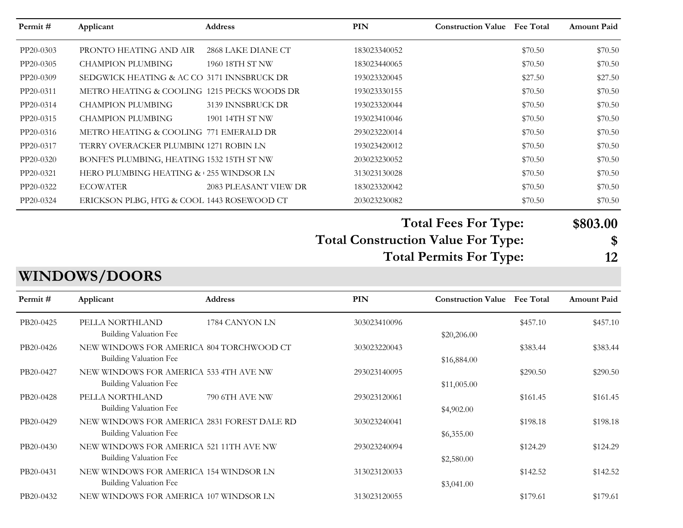| Permit#   | Applicant                                                        | Address               | <b>PIN</b>                                | <b>Construction Value</b> Fee Total |          | <b>Amount Paid</b> |
|-----------|------------------------------------------------------------------|-----------------------|-------------------------------------------|-------------------------------------|----------|--------------------|
| PP20-0303 | PRONTO HEATING AND AIR                                           | 2868 LAKE DIANE CT    | 183023340052                              |                                     | \$70.50  | \$70.50            |
| PP20-0305 | <b>CHAMPION PLUMBING</b>                                         | 1960 18TH ST NW       | 183023440065                              |                                     | \$70.50  | \$70.50            |
| PP20-0309 | SEDGWICK HEATING & AC CO 3171 INNSBRUCK DR                       |                       | 193023320045                              |                                     | \$27.50  | \$27.50            |
| PP20-0311 | METRO HEATING & COOLING 1215 PECKS WOODS DR                      |                       | 193023330155                              |                                     | \$70.50  | \$70.50            |
| PP20-0314 | <b>CHAMPION PLUMBING</b>                                         | 3139 INNSBRUCK DR     | 193023320044                              |                                     | \$70.50  | \$70.50            |
| PP20-0315 | <b>CHAMPION PLUMBING</b>                                         | 1901 14TH ST NW       | 193023410046                              |                                     | \$70.50  | \$70.50            |
| PP20-0316 | METRO HEATING & COOLING 771 EMERALD DR                           |                       | 293023220014                              |                                     | \$70.50  | \$70.50            |
| PP20-0317 | TERRY OVERACKER PLUMBIN(1271 ROBIN LN                            |                       | 193023420012                              |                                     | \$70.50  | \$70.50            |
| PP20-0320 | BONFE'S PLUMBING, HEATING 1532 15TH ST NW                        |                       | 203023230052                              |                                     | \$70.50  | \$70.50            |
| PP20-0321 | HERO PLUMBING HEATING & 255 WINDSOR LN                           |                       | 313023130028                              |                                     | \$70.50  | \$70.50            |
| PP20-0322 | <b>ECOWATER</b>                                                  | 2083 PLEASANT VIEW DR | 183023320042                              |                                     | \$70.50  | \$70.50            |
| PP20-0324 | ERICKSON PLBG, HTG & COOL 1443 ROSEWOOD CT                       |                       | 203023230082                              |                                     | \$70.50  | \$70.50            |
|           |                                                                  |                       |                                           | <b>Total Fees For Type:</b>         |          | \$803.00           |
|           |                                                                  |                       | <b>Total Construction Value For Type:</b> |                                     |          | \$                 |
|           |                                                                  |                       |                                           | <b>Total Permits For Type:</b>      |          | 12                 |
|           |                                                                  |                       |                                           |                                     |          |                    |
|           | <b>WINDOWS/DOORS</b>                                             |                       |                                           |                                     |          |                    |
| Permit#   | Applicant                                                        | <b>Address</b>        | PIN                                       | <b>Construction Value</b> Fee Total |          | <b>Amount Paid</b> |
| PB20-0425 | PELLA NORTHLAND<br>Building Valuation Fee                        | 1784 CANYON LN        | 303023410096                              |                                     | \$457.10 | \$457.10           |
| PB20-0426 | NEW WINDOWS FOR AMERICA 804 TORCHWOOD CT                         |                       | 303023220043                              | \$20,206.00                         | \$383.44 | \$383.44           |
|           | <b>Building Valuation Fee</b>                                    |                       |                                           | \$16,884.00                         |          |                    |
| PB20-0427 | NEW WINDOWS FOR AMERICA 533 4TH AVE NW                           |                       |                                           |                                     |          |                    |
|           |                                                                  |                       |                                           |                                     |          |                    |
|           | <b>Building Valuation Fee</b>                                    |                       | 293023140095                              |                                     | \$290.50 | \$290.50           |
| PB20-0428 | PELLA NORTHLAND                                                  | 790 6TH AVE NW        | 293023120061                              | \$11,005.00                         | \$161.45 | \$161.45           |
|           | <b>Building Valuation Fee</b>                                    |                       |                                           | \$4,902.00                          |          |                    |
| PB20-0429 | NEW WINDOWS FOR AMERICA 2831 FOREST DALE RD                      |                       | 303023240041                              |                                     | \$198.18 | \$198.18           |
|           | Building Valuation Fee                                           |                       |                                           | \$6,355.00                          |          |                    |
| PB20-0430 | NEW WINDOWS FOR AMERICA 521 11TH AVE NW                          |                       | 293023240094                              |                                     | \$124.29 | \$124.29           |
|           | Building Valuation Fee                                           |                       |                                           | \$2,580.00                          |          |                    |
| PB20-0431 | NEW WINDOWS FOR AMERICA 154 WINDSOR LN                           |                       | 313023120033                              |                                     | \$142.52 | \$142.52           |
| PB20-0432 | Building Valuation Fee<br>NEW WINDOWS FOR AMERICA 107 WINDSOR LN |                       | 313023120055                              | \$3,041.00                          | \$179.61 | \$179.61           |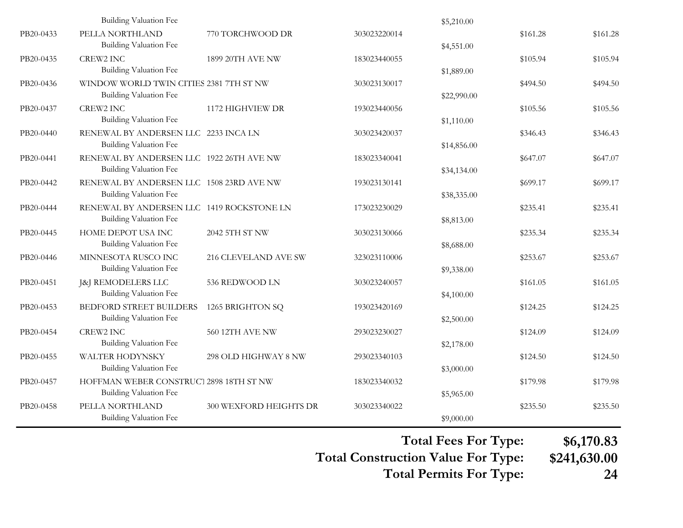|           | Building Valuation Fee                                                     |                        |              | \$5,210.00  |          |          |
|-----------|----------------------------------------------------------------------------|------------------------|--------------|-------------|----------|----------|
| PB20-0433 | PELLA NORTHLAND<br><b>Building Valuation Fee</b>                           | 770 TORCHWOOD DR       | 303023220014 | \$4,551.00  | \$161.28 | \$161.28 |
| PB20-0435 | <b>CREW2 INC</b><br>Building Valuation Fee                                 | 1899 20TH AVE NW       | 183023440055 | \$1,889.00  | \$105.94 | \$105.94 |
| PB20-0436 | WINDOW WORLD TWIN CITIES 2381 7TH ST NW<br><b>Building Valuation Fee</b>   |                        | 303023130017 | \$22,990.00 | \$494.50 | \$494.50 |
| PB20-0437 | <b>CREW2 INC</b><br>Building Valuation Fee                                 | 1172 HIGHVIEW DR       | 193023440056 | \$1,110.00  | \$105.56 | \$105.56 |
| PB20-0440 | RENEWAL BY ANDERSEN LLC 2233 INCA LN<br><b>Building Valuation Fee</b>      |                        | 303023420037 | \$14,856.00 | \$346.43 | \$346.43 |
| PB20-0441 | RENEWAL BY ANDERSEN LLC 1922 26TH AVE NW<br><b>Building Valuation Fee</b>  |                        | 183023340041 | \$34,134.00 | \$647.07 | \$647.07 |
| PB20-0442 | RENEWAL BY ANDERSEN LLC 1508 23RD AVE NW<br><b>Building Valuation Fee</b>  |                        | 193023130141 | \$38,335.00 | \$699.17 | \$699.17 |
| PB20-0444 | RENEWAL BY ANDERSEN LLC 1419 ROCKSTONE LN<br><b>Building Valuation Fee</b> |                        | 173023230029 | \$8,813.00  | \$235.41 | \$235.41 |
| PB20-0445 | HOME DEPOT USA INC<br><b>Building Valuation Fee</b>                        | 2042 5TH ST NW         | 303023130066 | \$8,688.00  | \$235.34 | \$235.34 |
| PB20-0446 | MINNESOTA RUSCO INC<br><b>Building Valuation Fee</b>                       | 216 CLEVELAND AVE SW   | 323023110006 | \$9,338.00  | \$253.67 | \$253.67 |
| PB20-0451 | [&] REMODELERS LLC<br><b>Building Valuation Fee</b>                        | 536 REDWOOD LN         | 303023240057 | \$4,100.00  | \$161.05 | \$161.05 |
| PB20-0453 | <b>BEDFORD STREET BUILDERS</b><br><b>Building Valuation Fee</b>            | 1265 BRIGHTON SQ       | 193023420169 | \$2,500.00  | \$124.25 | \$124.25 |
| PB20-0454 | <b>CREW2 INC</b><br>Building Valuation Fee                                 | 560 12TH AVE NW        | 293023230027 | \$2,178.00  | \$124.09 | \$124.09 |
| PB20-0455 | WALTER HODYNSKY<br><b>Building Valuation Fee</b>                           | 298 OLD HIGHWAY 8 NW   | 293023340103 | \$3,000.00  | \$124.50 | \$124.50 |
| PB20-0457 | HOFFMAN WEBER CONSTRUCT 2898 18TH ST NW<br><b>Building Valuation Fee</b>   |                        | 183023340032 | \$5,965.00  | \$179.98 | \$179.98 |
| PB20-0458 | PELLA NORTHLAND<br><b>Building Valuation Fee</b>                           | 300 WEXFORD HEIGHTS DR | 303023340022 | \$9,000.00  | \$235.50 | \$235.50 |

**Total Fees For Type: \$6,170.83**

**Total Construction Value For Type: \$241,630.00 Total Permits For Type: 24**